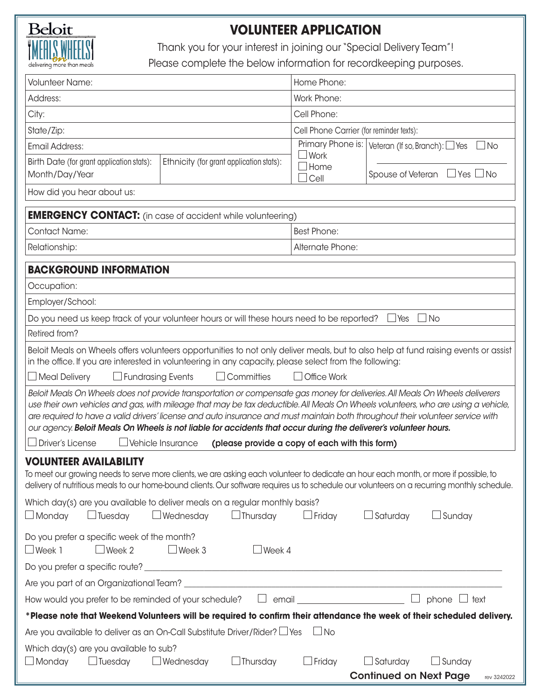

## **VOLUNTEER APPLICATION**

Thank you for your interest in joining our "Special Delivery Team"!

Please complete the below information for recordkeeping purposes.

| <b>Volunteer Name:</b>                                                                                                                                                                                                                                                                                                                                                                                                                                                                                                     |                                          | Home Phone:                                    |                                                                                          |             |  |  |  |
|----------------------------------------------------------------------------------------------------------------------------------------------------------------------------------------------------------------------------------------------------------------------------------------------------------------------------------------------------------------------------------------------------------------------------------------------------------------------------------------------------------------------------|------------------------------------------|------------------------------------------------|------------------------------------------------------------------------------------------|-------------|--|--|--|
| Address:                                                                                                                                                                                                                                                                                                                                                                                                                                                                                                                   |                                          | Work Phone:                                    |                                                                                          |             |  |  |  |
| City:                                                                                                                                                                                                                                                                                                                                                                                                                                                                                                                      |                                          | Cell Phone:                                    |                                                                                          |             |  |  |  |
| State/Zip:                                                                                                                                                                                                                                                                                                                                                                                                                                                                                                                 |                                          |                                                | Cell Phone Carrier (for reminder texts):                                                 |             |  |  |  |
| <b>Email Address:</b>                                                                                                                                                                                                                                                                                                                                                                                                                                                                                                      |                                          |                                                | $\overline{\text{Primary}}$ Phone is:   Veteran (If so, Branch): $\Box$ Yes<br>$\Box$ No |             |  |  |  |
| Birth Date (for grant application stats):<br>Month/Day/Year                                                                                                                                                                                                                                                                                                                                                                                                                                                                | Ethnicity (for grant application stats): | Work<br>Home<br>Cell                           | Spouse of Veteran $\Box$ Yes $\Box$ No                                                   |             |  |  |  |
| How did you hear about us:                                                                                                                                                                                                                                                                                                                                                                                                                                                                                                 |                                          |                                                |                                                                                          |             |  |  |  |
| <b>EMERGENCY CONTACT:</b> (in case of accident while volunteering)                                                                                                                                                                                                                                                                                                                                                                                                                                                         |                                          |                                                |                                                                                          |             |  |  |  |
| <b>Contact Name:</b>                                                                                                                                                                                                                                                                                                                                                                                                                                                                                                       |                                          | <b>Best Phone:</b>                             |                                                                                          |             |  |  |  |
| Relationship:                                                                                                                                                                                                                                                                                                                                                                                                                                                                                                              |                                          | Alternate Phone:                               |                                                                                          |             |  |  |  |
|                                                                                                                                                                                                                                                                                                                                                                                                                                                                                                                            |                                          |                                                |                                                                                          |             |  |  |  |
| <b>BACKGROUND INFORMATION</b>                                                                                                                                                                                                                                                                                                                                                                                                                                                                                              |                                          |                                                |                                                                                          |             |  |  |  |
| Occupation:                                                                                                                                                                                                                                                                                                                                                                                                                                                                                                                |                                          |                                                |                                                                                          |             |  |  |  |
| Employer/School:                                                                                                                                                                                                                                                                                                                                                                                                                                                                                                           |                                          |                                                |                                                                                          |             |  |  |  |
| Do you need us keep track of your volunteer hours or will these hours need to be reported?                                                                                                                                                                                                                                                                                                                                                                                                                                 |                                          |                                                | ⊿ No<br>$\Box$ Yes                                                                       |             |  |  |  |
| Retired from?                                                                                                                                                                                                                                                                                                                                                                                                                                                                                                              |                                          |                                                |                                                                                          |             |  |  |  |
| Beloit Meals on Wheels offers volunteers opportunities to not only deliver meals, but to also help at fund raising events or assist<br>in the office. If you are interested in volunteering in any capacity, please select from the following:                                                                                                                                                                                                                                                                             |                                          |                                                |                                                                                          |             |  |  |  |
| $\Box$ Meal Delivery<br>$\Box$ Fundrasing Events                                                                                                                                                                                                                                                                                                                                                                                                                                                                           | $\Box$ Committies                        | $\Box$ Office Work                             |                                                                                          |             |  |  |  |
| Beloit Meals On Wheels does not provide transportation or compensate gas money for deliveries. All Meals On Wheels deliverers<br>use their own vehicles and gas, with mileage that may be tax deductible. All Meals On Wheels volunteers, who are using a vehicle,<br>are required to have a valid drivers' license and auto insurance and must maintain both throughout their volunteer service with<br>our agency. Beloit Meals On Wheels is not liable for accidents that occur during the deliverer's volunteer hours. |                                          |                                                |                                                                                          |             |  |  |  |
| $\Box$ Driver's License<br>$\Box$ Vehicle Insurance                                                                                                                                                                                                                                                                                                                                                                                                                                                                        |                                          | (please provide a copy of each with this form) |                                                                                          |             |  |  |  |
| <b>VOLUNTEER AVAILABILITY</b><br>To meet our growing needs to serve more clients, we are asking each volunteer to dedicate an hour each month, or more if possible, to<br>delivery of nutritious meals to our home-bound clients. Our software requires us to schedule our volunteers on a recurring monthly schedule.                                                                                                                                                                                                     |                                          |                                                |                                                                                          |             |  |  |  |
| Which day(s) are you available to deliver meals on a regular monthly basis?<br>$\Box$ Monday<br>$\Box$ Tuesday                                                                                                                                                                                                                                                                                                                                                                                                             | $\Box$ Wednesday<br>$\Box$ Thursday      | $\Box$ Friday                                  | $\Box$ Saturday<br>$\Box$ Sunday                                                         |             |  |  |  |
| Do you prefer a specific week of the month?<br>$\Box$ Week 1<br>$\Box$ Week 2                                                                                                                                                                                                                                                                                                                                                                                                                                              | $\Box$ Week 3<br>$\Box$ Week 4           |                                                |                                                                                          |             |  |  |  |
|                                                                                                                                                                                                                                                                                                                                                                                                                                                                                                                            |                                          |                                                |                                                                                          |             |  |  |  |
|                                                                                                                                                                                                                                                                                                                                                                                                                                                                                                                            |                                          |                                                |                                                                                          |             |  |  |  |
| How would you prefer to be reminded of your schedule?                                                                                                                                                                                                                                                                                                                                                                                                                                                                      |                                          | $\Box$ email $\Box$                            | phone $\Box$ text                                                                        |             |  |  |  |
| *Please note that Weekend Volunteers will be required to confirm their attendance the week of their scheduled delivery.                                                                                                                                                                                                                                                                                                                                                                                                    |                                          |                                                |                                                                                          |             |  |  |  |
| Are you available to deliver as an On-Call Substitute Driver/Rider? $\Box$ Yes                                                                                                                                                                                                                                                                                                                                                                                                                                             |                                          | $\Box$ No                                      |                                                                                          |             |  |  |  |
| Which day(s) are you available to sub?<br>$\Box$ Monday<br>$\Box$ Tuesday                                                                                                                                                                                                                                                                                                                                                                                                                                                  | $\Box$ Wednesday<br>$\Box$ Thursday      | $\Box$ Friday                                  | $\Box$ Saturday<br>$\Box$ Sunday                                                         |             |  |  |  |
|                                                                                                                                                                                                                                                                                                                                                                                                                                                                                                                            |                                          |                                                | <b>Continued on Next Page</b>                                                            | rev 3242022 |  |  |  |